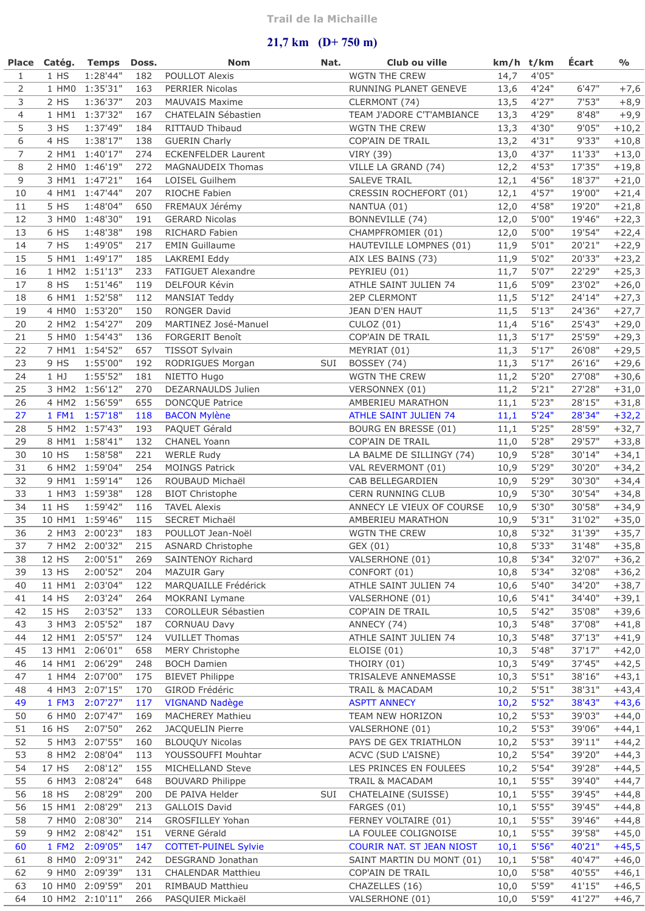## **21,7 km (D+ 750 m)**

|                |                | Place Catég. Temps               | Doss.      | <b>Nom</b>                                     | Nat. | Club ou ville                                 |              | km/h t/km      | Écart            | $\frac{1}{2}$      |
|----------------|----------------|----------------------------------|------------|------------------------------------------------|------|-----------------------------------------------|--------------|----------------|------------------|--------------------|
| $\mathbf{1}$   | $1$ HS         | 1:28'44"                         | 182        | POULLOT Alexis                                 |      | WGTN THE CREW                                 | 14,7         | 4'05"          |                  |                    |
| 2              |                | 1 HM0 1:35'31"                   | 163        | PERRIER Nicolas                                |      | RUNNING PLANET GENEVE                         | 13,6         | 4'24"          | 6'47"            | $+7,6$             |
| 3              | 2 HS           | 1:36'37"                         | 203        | <b>MAUVAIS Maxime</b>                          |      | CLERMONT (74)                                 | 13,5         | 4'27"          | 7'53"            | $+8,9$             |
| $\overline{4}$ |                | 1 HM1 1:37'32"                   | 167        | CHATELAIN Sébastien                            |      | TEAM J'ADORE C'T'AMBIANCE                     | 13,3         | 4'29"          | 8'48"            | $+9,9$             |
| 5              | 3 HS           | 1:37'49"                         | 184        | RITTAUD Thibaud                                |      | WGTN THE CREW                                 | 13,3         | 4'30"          | 9'05"            | $+10,2$            |
| 6              | 4 HS           | 1:38'17"                         | 138        | <b>GUERIN Charly</b>                           |      | COP'AIN DE TRAIL                              | 13,2         | 4'31"          | 9'33"            | $+10,8$            |
| $\overline{7}$ |                | 2 HM1 1:40'17"                   | 274        | <b>ECKENFELDER Laurent</b>                     |      | <b>VIRY (39)</b>                              | 13,0         | 4'37"          | 11'33"           | $+13,0$            |
| 8              |                | 2 HM0 1:46'19"                   | 272        | MAGNAUDEIX Thomas                              |      | VILLE LA GRAND (74)                           | 12,2         | 4'53"          | 17'35"           | $+19,8$            |
| 9              |                | 3 HM1 1:47'21"                   | 164        | LOISEL Guilhem                                 |      | SALEVE TRAIL                                  | 12,1         | 4'56"          | 18'37"           | $+21,0$            |
| $10$           |                | 4 HM1 1:47'44"                   | 207        | RIOCHE Fabien                                  |      | CRESSIN ROCHEFORT (01)                        | 12,1         | 4'57''         | 19'00"           | $+21,4$            |
| 11             | 5 HS           | 1:48'04"                         | 650        | FREMAUX Jérémy                                 |      | NANTUA (01)                                   | 12,0         | 4'58"          | 19'20"           | $+21,8$            |
| 12             |                | 3 HM0 1:48'30"                   | 191        | <b>GERARD Nicolas</b>                          |      | BONNEVILLE (74)                               | 12,0         | 5'00"          | 19'46"           | $+22,3$            |
| 13             | 6 HS           | 1:48'38"                         | 198        | RICHARD Fabien                                 |      | CHAMPFROMIER (01)                             | 12,0         | 5'00"          | 19'54"           | $+22,4$            |
| 14             | 7 HS           | 1:49'05"                         | 217        | <b>EMIN Guillaume</b>                          |      | HAUTEVILLE LOMPNES (01)                       | 11,9         | 5'01"          | 20'21"           | $+22,9$            |
| 15             |                | 5 HM1 1:49'17"                   | 185        | LAKREMI Eddy                                   |      | AIX LES BAINS (73)                            | 11,9         | 5'02"          | 20'33"           | $+23,2$            |
| 16             |                | 1 HM2 1:51'13"                   | 233        | FATIGUET Alexandre                             |      | PEYRIEU (01)                                  | 11,7         | 5'07"          | 22'29"           | $+25,3$            |
| 17             | 8 HS           | 1:51'46"                         | 119        | DELFOUR Kévin                                  |      | ATHLE SAINT JULIEN 74                         | 11,6         | 5'09"          | 23'02"           | $+26,0$            |
| 18             |                | 6 HM1 1:52'58"                   | 112        | MANSIAT Teddy                                  |      | <b>2EP CLERMONT</b>                           | 11,5         | 5'12"          | 24'14"           | $+27,3$            |
| 19             |                | 4 HM0 1:53'20"                   | 150        | RONGER David                                   |      | JEAN D'EN HAUT                                | 11,5         | 5'13"          | 24'36"<br>25'43" | $+27,7$            |
| 20<br>21       |                | 2 HM2 1:54'27"<br>5 HM0 1:54'43" | 209<br>136 | MARTINEZ José-Manuel                           |      | CULOZ(01)                                     | 11,4         | 5'16"          |                  | $+29,0$            |
| 22             |                | 7 HM1 1:54'52"                   | 657        | FORGERIT Benoît<br><b>TISSOT Sylvain</b>       |      | COP'AIN DE TRAIL                              | 11,3         | 5'17"<br>5'17" | 25'59"<br>26'08" | $+29,3$<br>$+29,5$ |
| 23             | 9 HS           | 1:55'00"                         | 192        | RODRIGUES Morgan                               | SUI  | MEYRIAT (01)<br>BOSSEY (74)                   | 11,3         | 5'17"          | 26'16"           | $+29,6$            |
| 24             | 1 HJ           | 1:55'52"                         | 181        | NIETTO Hugo                                    |      | WGTN THE CREW                                 | 11,3<br>11,2 | 5'20"          | 27'08"           | $+30,6$            |
| 25             |                | 3 HM2 1:56'12"                   | 270        | DEZARNAULDS Julien                             |      | VERSONNEX (01)                                | 11,2         | 5'21"          | 27'28"           | $+31,0$            |
| 26             |                | 4 HM2 1:56'59"                   | 655        | <b>DONCQUE Patrice</b>                         |      | AMBERIEU MARATHON                             | 11,1         | 5'23"          | 28'15"           | $+31,8$            |
| 27             | 1 FM1          | 1:57'18"                         | 118        | <b>BACON Mylène</b>                            |      | ATHLE SAINT JULIEN 74                         | 11,1         | 5'24"          | 28'34"           | $+32,2$            |
| 28             |                | 5 HM2 1:57'43"                   | 193        | PAQUET Gérald                                  |      | BOURG EN BRESSE (01)                          | 11,1         | 5'25"          | 28'59"           | $+32,7$            |
| 29             |                | 8 HM1 1:58'41"                   | 132        | <b>CHANEL Yoann</b>                            |      | COP'AIN DE TRAIL                              | 11,0         | 5'28"          | 29'57"           | $+33,8$            |
| 30             | 10 HS          | 1:58'58"                         | 221        | <b>WERLE Rudy</b>                              |      | LA BALME DE SILLINGY (74)                     | 10,9         | 5'28"          | 30'14"           | $+34,1$            |
| 31             |                | 6 HM2 1:59'04"                   | 254        | <b>MOINGS Patrick</b>                          |      | VAL REVERMONT (01)                            | 10,9         | 5'29"          | 30'20"           | $+34,2$            |
| 32             |                | 9 HM1 1:59'14"                   | 126        | ROUBAUD Michaël                                |      | CAB BELLEGARDIEN                              | 10,9         | 5'29"          | 30'30"           | $+34,4$            |
| 33             |                | 1 HM3 1:59'38"                   | 128        | <b>BIOT Christophe</b>                         |      | <b>CERN RUNNING CLUB</b>                      | 10,9         | 5'30"          | 30'54"           | $+34,8$            |
| 34             | 11 HS          | 1:59'42"                         | 116        | <b>TAVEL Alexis</b>                            |      | ANNECY LE VIEUX OF COURSE                     | 10,9         | 5'30"          | 30'58"           | $+34,9$            |
| 35             |                | 10 HM1 1:59'46"                  | 115        | <b>SECRET Michaël</b>                          |      | AMBERIEU MARATHON                             | 10,9         | 5'31"          | 31'02"           | $+35,0$            |
| 36             |                | 2 HM3 2:00'23"                   | 183        | POULLOT Jean-Noël                              |      | WGTN THE CREW                                 | 10,8         | 5'32"          | 31'39"           | $+35,7$            |
| 37             |                | 7 HM2 2:00'32"                   | 215        | <b>ASNARD Christophe</b>                       |      | GEX (01)                                      | 10,8         | 5'33"          | 31'48"           | $+35,8$            |
| 38             | 12 HS          | 2:00'51"                         | 269        | SAINTENOY Richard                              |      | VALSERHONE (01)                               | 10,8         | 5'34"          | 32'07"           | $+36,2$            |
| 39             | 13 HS          | 2:00'52"                         | 204        | <b>MAZUIR Gary</b>                             |      | CONFORT (01)                                  | 10,8         | 5'34"          | 32'08"           | $+36,2$            |
| 40             | 11 HM1         | 2:03'04"                         | 122        | MARQUAILLE Frédérick                           |      | ATHLE SAINT JULIEN 74                         | 10,6         | 5'40''         | 34'20"           | $+38,7$            |
| 41             | 14 HS          | 2:03'24"                         | 264        | MOKRANI Lymane                                 |      | VALSERHONE (01)                               | 10,6         | 5'41"          | 34'40"           | $+39,1$            |
| 42             | 15 HS          | 2:03'52"                         | 133        | COROLLEUR Sébastien                            |      | COP'AIN DE TRAIL                              | 10,5         | 5'42"          | 35'08"           | $+39,6$            |
| 43             |                | 3 HM3 2:05'52"                   | 187        | <b>CORNUAU Davy</b>                            |      | ANNECY (74)                                   | 10,3         | 5'48"          | 37'08"           | $+41,8$            |
| 44             |                | 12 HM1 2:05'57"                  | 124        | <b>VUILLET Thomas</b>                          |      | ATHLE SAINT JULIEN 74                         | 10,3         | 5'48"          | 37'13"           | $+41,9$            |
| 45             |                | 13 HM1 2:06'01"                  | 658        | <b>MERY Christophe</b>                         |      | ELOISE(01)                                    | 10,3         | 5'48"          | 37'17"           | $+42,0$            |
| 46             |                | 14 HM1 2:06'29"                  | 248        | <b>BOCH Damien</b>                             |      | THOIRY (01)                                   | 10,3         | 5'49"          | 37'45"           | $+42,5$            |
| 47             |                | 1 HM4 2:07'00"                   | 175        | <b>BIEVET Philippe</b>                         |      | TRISALEVE ANNEMASSE                           | 10,3         | 5'51"          | 38'16"           | $+43,1$            |
| 48             |                | 4 HM3 2:07'15"                   | 170        | GIROD Frédéric                                 |      | TRAIL & MACADAM                               | 10,2         | 5'51"          | 38'31"           | $+43,4$            |
| 49             | 1 FM3          | 2:07'27"                         | 117        | <b>VIGNAND Nadège</b>                          |      | <b>ASPTT ANNECY</b>                           | 10,2         | 5'52"          | 38'43"           | $+43,6$            |
| 50             |                | 6 HM0 2:07'47"                   | 169        | <b>MACHEREY Mathieu</b>                        |      | TEAM NEW HORIZON                              | 10,2         | 5'53"          | 39'03"           | $+44,0$            |
| 51             | 16 HS          | 2:07'50"                         | 262        | JACQUELIN Pierre                               |      | VALSERHONE (01)                               | 10,2         | 5'53"          | 39'06"           | $+44,1$            |
| 52             |                | 5 HM3 2:07'55"                   | 160        | <b>BLOUQUY Nicolas</b>                         |      | PAYS DE GEX TRIATHLON                         | 10,2         | 5'53"          | 39'11"           | $+44,2$            |
| 53             |                | 8 HM2 2:08'04"                   | 113        | YOUSSOUFFI Mouhtar                             |      | ACVC (SUD L'AISNE)                            | 10,2         | 5'54"          | 39'20"           | $+44,3$            |
| 54             | 17 HS          | 2:08'12"                         | 155        | MICHELLAND Steve                               |      | LES PRINCES EN FOULEES                        | 10,2         | 5'54"          | 39'28"           | $+44,5$            |
| 55             |                | 6 HM3 2:08'24"                   | 648        | <b>BOUVARD Philippe</b>                        |      | TRAIL & MACADAM                               | 10,1         | 5'55"          | 39'40"           | $+44,7$            |
| 56             | 18 HS          | 2:08'29"                         | 200        | DE PAIVA Helder                                | SUI  | CHATELAINE (SUISSE)                           | 10,1         | 5'55"          | 39'45"           | $+44,8$            |
| 56             | 15 HM1         | 2:08'29"                         | 213        | GALLOIS David                                  |      | FARGES (01)                                   | 10,1         | 5'55"          | 39'45"           | $+44,8$            |
| 58<br>59       | 7 HMO          | 2:08'30"                         | 214        | GROSFILLEY Yohan                               |      | FERNEY VOLTAIRE (01)                          | 10,1         | 5'55"<br>5'55" | 39'46"           | $+44,8$            |
|                | 9 HM2          | 2:08'42"                         | 151        | VERNE Gérald                                   |      | LA FOULEE COLIGNOISE                          | 10,1         | 5'56"          | 39'58"<br>40'21" | $+45,0$            |
| 60             | 1 FM2          | 2:09'05"<br>2:09'31"             | 147<br>242 | <b>COTTET-PUINEL Sylvie</b>                    |      | COURIR NAT. ST JEAN NIOST                     | 10,1         | 5'58"          | 40'47"           | $+45,5$            |
| 61<br>62       | 8 HM0<br>9 HM0 | 2:09'39"                         | 131        | DESGRAND Jonathan<br><b>CHALENDAR Matthieu</b> |      | SAINT MARTIN DU MONT (01)<br>COP'AIN DE TRAIL | 10,1<br>10,0 | 5'58"          | 40'55"           | $+46,0$<br>$+46,1$ |
| 63             |                | 10 HM0 2:09'59"                  | 201        | <b>RIMBAUD Matthieu</b>                        |      | CHAZELLES (16)                                | 10,0         | 5'59"          | 41'15"           | $+46,5$            |
| 64             |                | 10 HM2 2:10'11"                  | 266        | PASQUIER Mickaël                               |      | VALSERHONE (01)                               | 10,0         | 5'59"          | 41'27"           | $+46,7$            |
|                |                |                                  |            |                                                |      |                                               |              |                |                  |                    |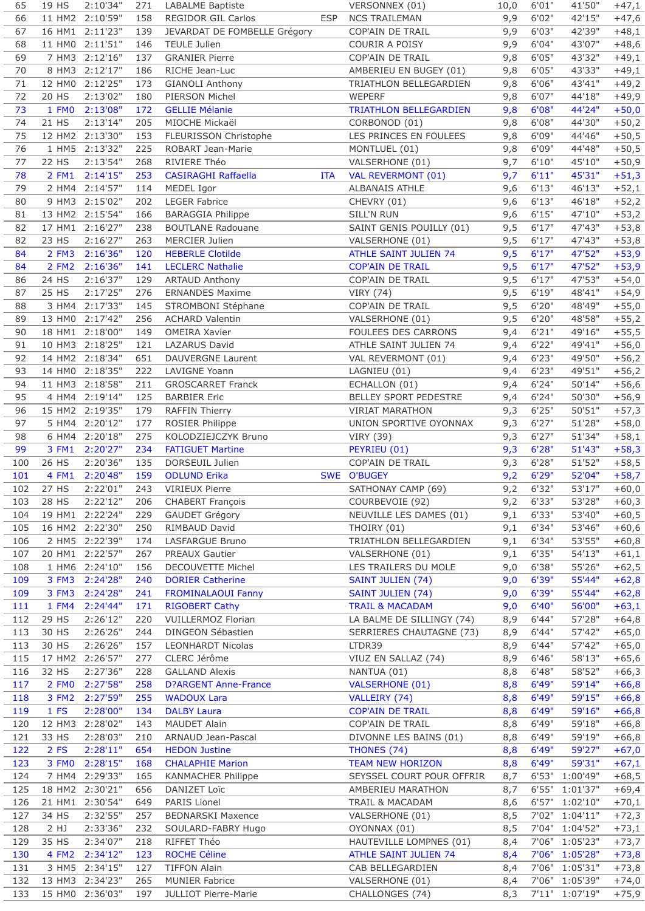| 65  | 19 HS  | 2:10'34"           | 271 | LABALME Baptiste             |            | VERSONNEX (01)               | 10,0 | 6'01"  | 41'50"         | $+47,1$ |
|-----|--------|--------------------|-----|------------------------------|------------|------------------------------|------|--------|----------------|---------|
| 66  |        | 11 HM2 2:10'59"    | 158 | REGIDOR GIL Carlos           | <b>ESP</b> | <b>NCS TRAILEMAN</b>         | 9,9  | 6'02"  | 42'15"         | $+47,6$ |
| 67  |        | 16 HM1 2:11'23"    | 139 | JEVARDAT DE FOMBELLE Grégory |            | COP'AIN DE TRAIL             | 9,9  | 6'03"  | 42'39"         | $+48,1$ |
| 68  |        | 11 HM0 2:11'51"    | 146 | <b>TEULE Julien</b>          |            | COURIR A POISY               | 9,9  | 6'04"  | 43'07"         | $+48,6$ |
| 69  |        | 7 HM3 2:12'16"     | 137 | <b>GRANIER Pierre</b>        |            | COP'AIN DE TRAIL             | 9,8  | 6'05"  | 43'32"         | $+49,1$ |
| 70  |        | 8 HM3 2:12'17"     | 186 | RICHE Jean-Luc               |            | AMBERIEU EN BUGEY (01)       | 9,8  | 6'05"  | 43'33"         | $+49,1$ |
| 71  | 12 HM0 | 2:12'25"           | 173 | <b>GIANOLI Anthony</b>       |            | TRIATHLON BELLEGARDIEN       | 9,8  | 6'06"  | 43'41"         | $+49,2$ |
| 72  | 20 HS  | 2:13'02"           | 180 | PIERSON Michel               |            | WEPERF                       | 9,8  | 6'07"  | 44'18"         | $+49,9$ |
|     |        |                    |     |                              |            |                              |      |        | 44'24"         |         |
| 73  | 1 FM0  | 2:13'08"           | 172 | <b>GELLIE Mélanie</b>        |            | TRIATHLON BELLEGARDIEN       | 9,8  | 6'08"  |                | $+50,0$ |
| 74  | 21 HS  | 2:13'14"           | 205 | MIOCHE Mickaël               |            | CORBONOD (01)                | 9,8  | 6'08"  | 44'30"         | $+50,2$ |
| 75  |        | 12 HM2 2:13'30"    | 153 | FLEURISSON Christophe        |            | LES PRINCES EN FOULEES       | 9,8  | 6'09"  | 44'46"         | $+50,5$ |
| 76  |        | 1 HM5 2:13'32"     | 225 | ROBART Jean-Marie            |            | MONTLUEL (01)                | 9,8  | 6'09"  | 44'48"         | $+50,5$ |
| 77  | 22 HS  | 2:13'54"           | 268 | RIVIERE Théo                 |            | VALSERHONE (01)              | 9,7  | 6'10"  | 45'10"         | $+50,9$ |
| 78  | 2 FM1  | 2:14'15"           | 253 | <b>CASIRAGHI Raffaella</b>   | <b>ITA</b> | <b>VAL REVERMONT (01)</b>    | 9,7  | 6'11"  | 45'31"         | $+51,3$ |
| 79  | 2 HM4  | 2:14'57"           | 114 | MEDEL Igor                   |            | ALBANAIS ATHLE               | 9,6  | 6'13"  | 46'13"         | $+52,1$ |
| 80  |        | 9 HM3 2:15'02"     | 202 | <b>LEGER Fabrice</b>         |            | CHEVRY (01)                  | 9,6  | 6'13"  | 46'18"         | $+52,2$ |
| 81  |        | 13 HM2 2:15'54"    | 166 | <b>BARAGGIA Philippe</b>     |            | <b>SILL'N RUN</b>            | 9,6  | 6'15"  | 47'10"         | $+53,2$ |
| 82  |        | 17 HM1 2:16'27"    | 238 | <b>BOUTLANE Radouane</b>     |            | SAINT GENIS POUILLY (01)     | 9,5  | 6'17"  | 47'43"         | $+53,8$ |
|     |        |                    |     |                              |            |                              |      |        |                |         |
| 82  | 23 HS  | 2:16'27"           | 263 | <b>MERCIER Julien</b>        |            | VALSERHONE (01)              | 9,5  | 6'17"  | 47'43"         | $+53,8$ |
| 84  | 2 FM3  | 2:16'36"           | 120 | <b>HEBERLE Clotilde</b>      |            | <b>ATHLE SAINT JULIEN 74</b> | 9,5  | 6'17"  | 47'52"         | $+53,9$ |
| 84  |        | 2 FM2 2:16'36"     | 141 | <b>LECLERC Nathalie</b>      |            | <b>COP'AIN DE TRAIL</b>      | 9,5  | 6'17"  | 47'52"         | $+53,9$ |
| 86  | 24 HS  | 2:16'37"           | 129 | <b>ARTAUD Anthony</b>        |            | COP'AIN DE TRAIL             | 9,5  | 6'17"  | 47'53"         | $+54,0$ |
| 87  | 25 HS  | 2:17'25"           | 276 | <b>ERNANDES Maxime</b>       |            | <b>VIRY (74)</b>             | 9,5  | 6'19"  | 48'41"         | $+54,9$ |
| 88  | 3 HM4  | 2:17'33"           | 145 | STROMBONI Stéphane           |            | COP'AIN DE TRAIL             | 9,5  | 6'20"  | 48'49"         | $+55,0$ |
| 89  |        | 13 HM0 2:17'42"    | 256 | <b>ACHARD Valentin</b>       |            | VALSERHONE (01)              | 9,5  | 6'20"  | 48'58"         | $+55,2$ |
| 90  |        | 18 HM1 2:18'00"    | 149 | <b>OMEIRA Xavier</b>         |            | FOULEES DES CARRONS          | 9,4  | 6'21"  | 49'16"         | $+55,5$ |
| 91  |        | 10 HM3 2:18'25"    | 121 | LAZARUS David                |            | ATHLE SAINT JULIEN 74        | 9,4  | 6'22"  | 49'41"         | $+56,0$ |
| 92  |        | 14 HM2 2:18'34"    | 651 | <b>DAUVERGNE Laurent</b>     |            | VAL REVERMONT (01)           | 9,4  | 6'23"  | 49'50"         |         |
|     |        |                    |     |                              |            |                              |      |        |                | $+56,2$ |
| 93  |        | 14 HM0 2:18'35"    | 222 | <b>LAVIGNE Yoann</b>         |            | LAGNIEU (01)                 | 9,4  | 6'23"  | 49'51"         | $+56,2$ |
| 94  |        | 11 HM3 2:18'58"    | 211 | <b>GROSCARRET Franck</b>     |            | ECHALLON (01)                | 9,4  | 6'24"  | 50'14"         | $+56,6$ |
| 95  |        | 4 HM4 2:19'14"     | 125 | <b>BARBIER Eric</b>          |            | BELLEY SPORT PEDESTRE        | 9,4  | 6'24"  | 50'30"         | $+56,9$ |
| 96  |        | 15 HM2 2:19'35"    | 179 | <b>RAFFIN Thierry</b>        |            | <b>VIRIAT MARATHON</b>       | 9,3  | 6'25"  | 50'51"         | $+57,3$ |
| 97  |        | 5 HM4 2:20'12"     | 177 | ROSIER Philippe              |            | UNION SPORTIVE OYONNAX       | 9,3  | 6'27"  | 51'28"         | $+58,0$ |
| 98  |        | 6 HM4 2:20'18"     | 275 | KOLODZIEJCZYK Bruno          |            | <b>VIRY (39)</b>             | 9,3  | 6'27"  | 51'34"         | $+58,1$ |
| 99  |        | 3 FM1 2:20'27"     | 234 | <b>FATIGUET Martine</b>      |            | PEYRIEU (01)                 | 9,3  | 6'28"  | 51'43"         | $+58,3$ |
| 100 | 26 HS  | 2:20'36"           | 135 | DORSEUIL Julien              |            | COP'AIN DE TRAIL             | 9,3  | 6'28'' | 51'52"         | $+58,5$ |
| 101 |        | 4 FM1 2:20'48"     | 159 | <b>ODLUND Erika</b>          |            | SWE O'BUGEY                  | 9,2  | 6'29"  | 52'04"         | $+58,7$ |
|     |        | 102 27 HS 2:22'01" |     | 243 VIRIEUX Pierre           |            | SATHONAY CAMP (69)           | 9,2  | 6'32"  | 53'17"         | $+60,0$ |
| 103 | 28 HS  | 2:22'12"           | 206 | <b>CHABERT François</b>      |            | COURBEVOIE (92)              | 9,2  | 6'33"  | 53'28"         | $+60,3$ |
|     |        |                    |     |                              |            |                              |      |        |                |         |
| 104 |        | 19 HM1 2:22'24"    | 229 | GAUDET Grégory               |            | NEUVILLE LES DAMES (01)      | 9,1  | 6'33"  | 53'40"         | $+60,5$ |
| 105 |        | 16 HM2 2:22'30"    | 250 | RIMBAUD David                |            | THOIRY (01)                  | 9,1  | 6'34"  | 53'46"         | $+60,6$ |
| 106 |        | 2 HM5 2:22'39"     | 174 | LASFARGUE Bruno              |            | TRIATHLON BELLEGARDIEN       | 9,1  | 6'34"  | 53'55"         | $+60,8$ |
| 107 |        | 20 HM1 2:22'57"    | 267 | PREAUX Gautier               |            | VALSERHONE (01)              | 9,1  | 6'35"  | 54'13"         | $+61,1$ |
| 108 |        | 1 HM6 2:24'10"     | 156 | DECOUVETTE Michel            |            | LES TRAILERS DU MOLE         | 9,0  | 6'38"  | 55'26"         | $+62,5$ |
| 109 | 3 FM3  | 2:24'28"           | 240 | <b>DORIER Catherine</b>      |            | SAINT JULIEN (74)            | 9,0  | 6'39"  | 55'44"         | $+62,8$ |
| 109 | 3 FM3  | 2:24'28"           | 241 | <b>FROMINALAOUI Fanny</b>    |            | <b>SAINT JULIEN (74)</b>     | 9,0  | 6'39"  | 55'44"         | $+62,8$ |
| 111 | 1 FM4  | 2:24'44"           | 171 | <b>RIGOBERT Cathy</b>        |            | <b>TRAIL &amp; MACADAM</b>   | 9,0  | 6'40"  | 56'00"         | $+63,1$ |
| 112 | 29 HS  | 2:26'12"           | 220 | <b>VUILLERMOZ Florian</b>    |            | LA BALME DE SILLINGY (74)    | 8,9  | 6'44"  | 57'28"         | $+64,8$ |
| 113 | 30 HS  | 2:26'26"           | 244 | DINGEON Sébastien            |            | SERRIERES CHAUTAGNE (73)     | 8,9  | 6'44"  | 57'42"         | $+65,0$ |
| 113 | 30 HS  | 2:26'26"           | 157 | <b>LEONHARDT Nicolas</b>     |            | LTDR39                       | 8,9  | 6'44"  | 57'42"         | $+65,0$ |
| 115 |        | 17 HM2 2:26'57"    | 277 | CLERC Jérôme                 |            | VIUZ EN SALLAZ (74)          | 8,9  | 6'46"  | 58'13"         | $+65,6$ |
| 116 | 32 HS  | 2:27'36"           | 228 | <b>GALLAND Alexis</b>        |            | NANTUA (01)                  | 8,8  | 6'48"  | 58'52"         | $+66,3$ |
|     |        |                    |     |                              |            |                              |      |        |                |         |
| 117 | 2 FM0  | 2:27'58"           | 258 | <b>D?ARGENT Anne-France</b>  |            | <b>VALSERHONE (01)</b>       | 8,8  | 6'49"  | 59'14"         | $+66,8$ |
| 118 | 3 FM2  | 2:27'59"           | 255 | <b>WADOUX Lara</b>           |            | VALLEIRY (74)                | 8,8  | 6'49"  | 59'15"         | $+66,8$ |
| 119 | 1 FS   | 2:28'00"           | 134 | <b>DALBY Laura</b>           |            | <b>COP'AIN DE TRAIL</b>      | 8,8  | 6'49"  | 59'16"         | $+66,8$ |
| 120 | 12 HM3 | 2:28'02"           | 143 | <b>MAUDET Alain</b>          |            | COP'AIN DE TRAIL             | 8,8  | 6'49"  | 59'18"         | $+66,8$ |
| 121 | 33 HS  | 2:28'03"           | 210 | ARNAUD Jean-Pascal           |            | DIVONNE LES BAINS (01)       | 8,8  | 6'49"  | 59'19"         | $+66,8$ |
| 122 | 2 FS   | 2:28'11"           | 654 | <b>HEDON Justine</b>         |            | THONES (74)                  | 8,8  | 6'49"  | 59'27"         | $+67,0$ |
| 123 | 3 FM0  | 2:28'15"           | 168 | <b>CHALAPHIE Marion</b>      |            | <b>TEAM NEW HORIZON</b>      | 8,8  | 6'49"  | 59'31"         | $+67,1$ |
| 124 | 7 HM4  | 2:29'33"           | 165 | <b>KANMACHER Philippe</b>    |            | SEYSSEL COURT POUR OFFRIR    | 8,7  |        | 6'53" 1:00'49" | $+68,5$ |
| 125 |        | 18 HM2 2:30'21"    | 656 | DANIZET Loïc                 |            | AMBERIEU MARATHON            | 8,7  |        | 6'55" 1:01'37" | $+69,4$ |
|     |        |                    |     |                              |            |                              |      |        | 6'57" 1:02'10" |         |
| 126 |        | 21 HM1 2:30'54"    | 649 | PARIS Lionel                 |            | TRAIL & MACADAM              | 8,6  |        |                | $+70,1$ |
| 127 | 34 HS  | 2:32'55"           | 257 | <b>BEDNARSKI Maxence</b>     |            | VALSERHONE (01)              | 8,5  |        | 7'02" 1:04'11" | $+72,3$ |
| 128 | 2 HJ   | 2:33'36"           | 232 | SOULARD-FABRY Hugo           |            | OYONNAX (01)                 | 8,5  |        | 7'04" 1:04'52" | $+73,1$ |
| 129 | 35 HS  | 2:34'07"           | 218 | RIFFET Théo                  |            | HAUTEVILLE LOMPNES (01)      | 8,4  |        | 7'06" 1:05'23" | $+73,7$ |
| 130 | 4 FM2  | 2:34'12"           | 123 | <b>ROCHE Céline</b>          |            | <b>ATHLE SAINT JULIEN 74</b> | 8,4  |        | 7'06" 1:05'28" | $+73,8$ |
| 131 |        | 3 HM5 2:34'15"     | 127 | <b>TIFFON Alain</b>          |            | CAB BELLEGARDIEN             | 8,4  |        | 7'06" 1:05'31" | $+73,8$ |
| 132 |        | 13 HM3 2:34'23"    | 265 | <b>MUNIER Fabrice</b>        |            | VALSERHONE (01)              | 8,4  |        | 7'06" 1:05'39" | $+74,0$ |
| 133 |        | 15 HM0 2:36'03"    | 197 | JULLIOT Pierre-Marie         |            | CHALLONGES (74)              | 8,3  |        | 7'11" 1:07'19" | $+75,9$ |
|     |        |                    |     |                              |            |                              |      |        |                |         |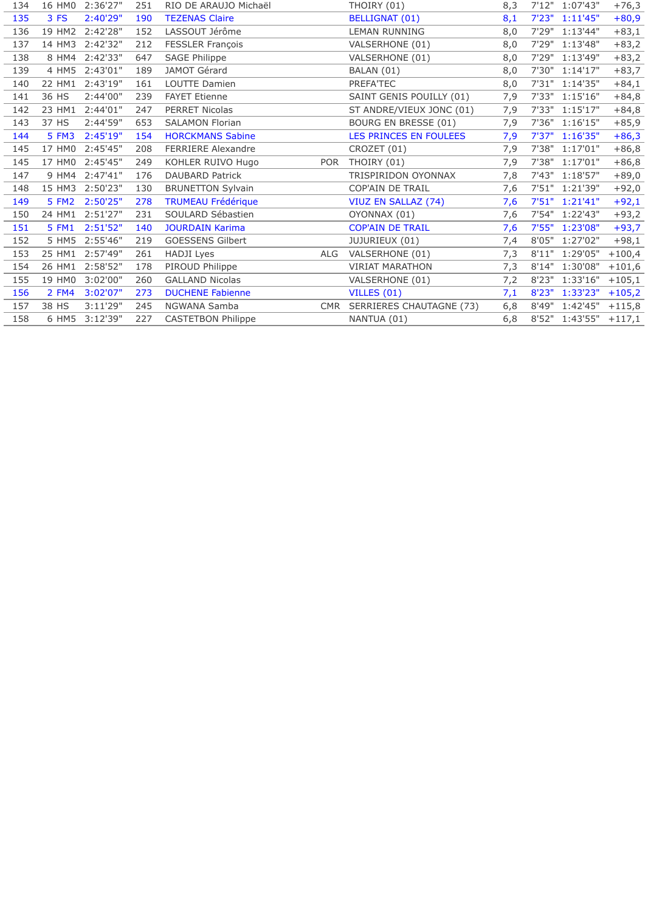| 134 |        | 16 HM0 2:36'27" | 251 | RIO DE ARAUJO Michaël     |            | THOIRY (01)                  | 8,3 |       | 7'12" 1:07'43"        | $+76,3$  |
|-----|--------|-----------------|-----|---------------------------|------------|------------------------------|-----|-------|-----------------------|----------|
| 135 | 3 FS   | 2:40'29"        | 190 | <b>TEZENAS Claire</b>     |            | <b>BELLIGNAT (01)</b>        | 8,1 |       | 7'23" 1:11'45"        | $+80,9$  |
| 136 |        | 19 HM2 2:42'28" | 152 | LASSOUT Jérôme            |            | <b>LEMAN RUNNING</b>         | 8,0 |       | 7'29" 1:13'44"        | $+83,1$  |
| 137 | 14 HM3 | 2:42'32"        | 212 | FESSLER François          |            | VALSERHONE (01)              | 8,0 |       | 7'29" 1:13'48"        | $+83,2$  |
| 138 |        | 8 HM4 2:42'33"  | 647 | <b>SAGE Philippe</b>      |            | VALSERHONE (01)              | 8,0 |       | 7'29" 1:13'49"        | $+83,2$  |
| 139 | 4 HM5  | 2:43'01"        | 189 | JAMOT Gérard              |            | BALAN (01)                   | 8,0 |       | 7'30" 1:14'17"        | $+83,7$  |
| 140 |        | 22 HM1 2:43'19" | 161 | LOUTTE Damien             |            | PREFA'TEC                    | 8,0 |       | 7'31" 1:14'35"        | $+84,1$  |
| 141 | 36 HS  | 2:44'00"        | 239 | <b>FAYET Etienne</b>      |            | SAINT GENIS POUILLY (01)     | 7,9 |       | 7'33" 1:15'16"        | $+84,8$  |
| 142 |        | 23 HM1 2:44'01" | 247 | PERRET Nicolas            |            | ST ANDRE/VIEUX JONC (01)     | 7,9 |       | 7'33" 1:15'17"        | $+84,8$  |
| 143 | 37 HS  | 2:44'59"        | 653 | <b>SALAMON Florian</b>    |            | BOURG EN BRESSE (01)         | 7,9 |       | 7'36" 1:16'15"        | $+85,9$  |
| 144 | 5 FM3  | 2:45'19"        | 154 | <b>HORCKMANS Sabine</b>   |            | LES PRINCES EN FOULEES       | 7,9 |       | 7'37" 1:16'35"        | $+86,3$  |
| 145 | 17 HM0 | 2:45'45"        | 208 | <b>FERRIERE Alexandre</b> |            | CROZET (01)                  | 7,9 | 7'38" | 1:17'01"              | $+86,8$  |
| 145 |        | 17 HM0 2:45'45" | 249 | KOHLER RUIVO Hugo         | POR        | THOIRY (01)                  | 7,9 |       | 7'38" 1:17'01"        | $+86,8$  |
| 147 |        | 9 HM4 2:47'41"  | 176 | <b>DAUBARD Patrick</b>    |            | TRISPIRIDON OYONNAX          | 7,8 |       | 7'43" 1:18'57"        | $+89,0$  |
| 148 | 15 HM3 | 2:50'23"        | 130 | <b>BRUNETTON Sylvain</b>  |            | COP'AIN DE TRAIL             | 7,6 |       | 7'51" 1:21'39"        | $+92,0$  |
| 149 | 5 FM2  | 2:50'25"        | 278 | <b>TRUMEAU Frédérique</b> |            | VIUZ EN SALLAZ (74)          | 7,6 |       | 7'51" 1:21'41"        | $+92,1$  |
| 150 | 24 HM1 | 2:51'27"        | 231 | SOULARD Sébastien         |            | OYONNAX (01)                 | 7,6 |       | 7'54" 1:22'43"        | $+93,2$  |
| 151 | 5 FM1  | 2:51'52"        | 140 | <b>JOURDAIN Karima</b>    |            | <b>COP'AIN DE TRAIL</b>      | 7,6 |       | 7'55" 1:23'08"        | $+93,7$  |
| 152 |        | 5 HM5 2:55'46"  | 219 | GOESSENS Gilbert          |            | JUJURIEUX (01)               | 7,4 |       | 8'05" 1:27'02"        | $+98,1$  |
| 153 | 25 HM1 | 2:57'49"        | 261 | HADJI Lyes                | <b>ALG</b> | VALSERHONE (01)              | 7,3 |       | 8'11" 1:29'05"        | $+100,4$ |
| 154 | 26 HM1 | 2:58'52"        | 178 | PIROUD Philippe           |            | <b>VIRIAT MARATHON</b>       | 7,3 |       | 8'14" 1:30'08"        | $+101,6$ |
| 155 | 19 HM0 | 3:02'00"        | 260 | <b>GALLAND Nicolas</b>    |            | VALSERHONE (01)              | 7,2 |       | 8'23" 1:33'16"        | $+105,1$ |
| 156 | 2 FM4  | 3:02'07"        | 273 | <b>DUCHENE Fabienne</b>   |            | VILLES (01)                  | 7,1 |       | 8'23" 1:33'23"        | $+105,2$ |
| 157 | 38 HS  | 3:11'29"        | 245 | NGWANA Samba              |            | CMR SERRIERES CHAUTAGNE (73) | 6,8 |       | 8'49" 1:42'45"        | $+115,8$ |
| 158 |        | 6 HM5 3:12'39"  | 227 | <b>CASTETBON Philippe</b> |            | NANTUA (01)                  | 6,8 |       | 8'52" 1:43'55" +117,1 |          |
|     |        |                 |     |                           |            |                              |     |       |                       |          |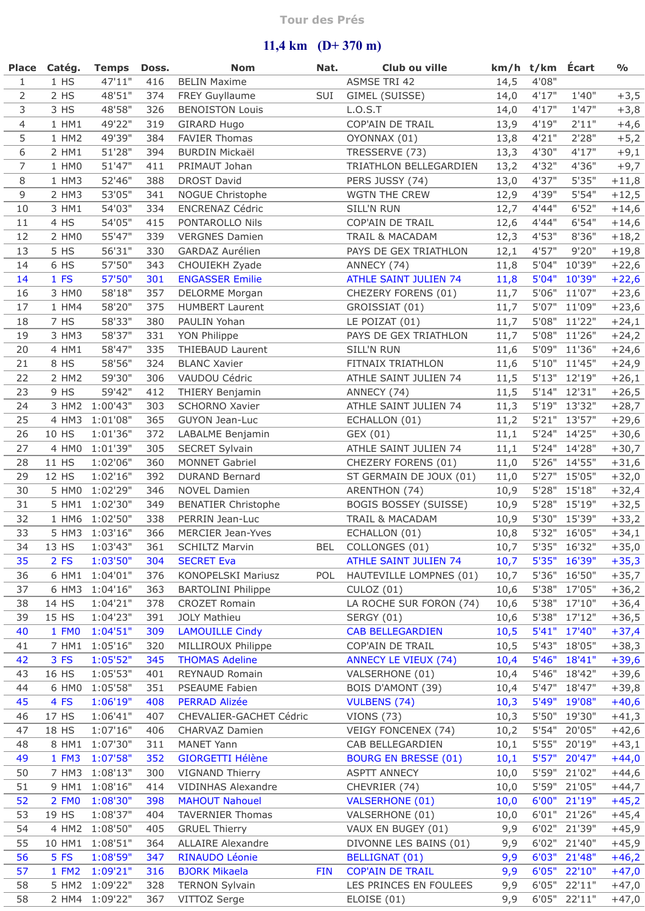## **Tour des Prés**

## **11,4 km (D+ 370 m)**

|                | Place Catég. | Temps Doss.       |     | <b>Nom</b>                 | Nat.       | Club ou ville                |      | km/h t/km Écart |                             | $\frac{0}{0}$ |
|----------------|--------------|-------------------|-----|----------------------------|------------|------------------------------|------|-----------------|-----------------------------|---------------|
| $\mathbf{1}$   | 1 HS         | 47'11"            | 416 | <b>BELIN Maxime</b>        |            | ASMSE TRI 42                 | 14,5 | 4'08"           |                             |               |
| $\overline{2}$ | 2 HS         | 48'51"            | 374 | FREY Guyllaume             | SUI        | GIMEL (SUISSE)               | 14,0 | 4'17"           | 1'40''                      | $+3,5$        |
| 3              | 3 HS         | 48'58"            | 326 | <b>BENOISTON Louis</b>     |            | L.O.S.T                      | 14,0 | 4'17''          | 1'47"                       | $+3,8$        |
| $\overline{4}$ | 1 HM1        | 49'22"            | 319 | GIRARD Hugo                |            | COP'AIN DE TRAIL             | 13,9 | 4'19''          | 2'11"                       | $+4,6$        |
| 5              | 1 HM2        | 49'39"            | 384 | <b>FAVIER Thomas</b>       |            | OYONNAX (01)                 | 13,8 | 4'21"           | 2'28"                       | $+5,2$        |
| 6              | 2 HM1        | 51'28"            | 394 | <b>BURDIN Mickaël</b>      |            |                              |      | 4'30"           | 4'17"                       |               |
|                |              |                   |     |                            |            | TRESSERVE (73)               | 13,3 |                 |                             | $+9,1$        |
| $\overline{7}$ | 1 HMO        | 51'47"            | 411 | PRIMAUT Johan              |            | TRIATHLON BELLEGARDIEN       | 13,2 | 4'32"           | 4'36"                       | $+9,7$        |
| 8              | 1 HM3        | 52'46"            | 388 | <b>DROST David</b>         |            | PERS JUSSY (74)              | 13,0 | 4'37''          | 5'35"                       | $+11,8$       |
| 9              | 2 HM3        | 53'05"            | 341 | NOGUE Christophe           |            | WGTN THE CREW                | 12,9 | 4'39"           | 5'54"                       | $+12,5$       |
| 10             | 3 HM1        | 54'03"            | 334 | <b>ENCRENAZ Cédric</b>     |            | SILL'N RUN                   | 12,7 | 4'44"           | 6'52"                       | $+14,6$       |
| 11             | 4 HS         | 54'05"            | 415 | PONTAROLLO Nils            |            | COP'AIN DE TRAIL             | 12,6 | 4'44"           | 6'54"                       | $+14,6$       |
| 12             | 2 HMO        | 55'47"            | 339 | <b>VERGNES Damien</b>      |            | TRAIL & MACADAM              | 12,3 | 4'53"           | 8'36"                       | $+18,2$       |
| 13             | 5 HS         | 56'31"            | 330 | GARDAZ Aurélien            |            | PAYS DE GEX TRIATHLON        | 12,1 | 4'57"           | 9'20"                       | $+19,8$       |
| 14             | 6 HS         | 57'50"            | 343 | CHOUIEKH Zyade             |            | ANNECY (74)                  | 11,8 | 5'04"           | 10'39"                      | $+22,6$       |
| 14             | 1 FS         | 57'50"            | 301 | <b>ENGASSER Emilie</b>     |            | <b>ATHLE SAINT JULIEN 74</b> | 11,8 | 5'04"           | 10'39"                      | $+22,6$       |
| 16             | 3 HM0        | 58'18"            | 357 | DELORME Morgan             |            | CHEZERY FORENS (01)          | 11,7 | 5'06"           | 11'07"                      | $+23,6$       |
| 17             | 1 HM4        | 58'20"            | 375 | <b>HUMBERT Laurent</b>     |            | GROISSIAT (01)               | 11,7 | 5'07"           | 11'09"                      | $+23,6$       |
| 18             | 7 HS         | 58'33"            | 380 | PAULIN Yohan               |            | LE POIZAT (01)               | 11,7 | 5'08"           | 11'22"                      | $+24,1$       |
| 19             | 3 HM3        | 58'37"            | 331 | YON Philippe               |            | PAYS DE GEX TRIATHLON        | 11,7 | 5'08"           | 11'26"                      | $+24,2$       |
| 20             | 4 HM1        | 58'47"            | 335 | THIEBAUD Laurent           |            | SILL'N RUN                   | 11,6 | 5'09"           | 11'36"                      | $+24,6$       |
| 21             | 8 HS         | 58'56"            | 324 | <b>BLANC Xavier</b>        |            | FITNAIX TRIATHLON            | 11,6 | 5'10"           | 11'45"                      | $+24,9$       |
| 22             | 2 HM2        | 59'30"            | 306 | VAUDOU Cédric              |            | ATHLE SAINT JULIEN 74        | 11,5 | 5'13"           | 12'19"                      | $+26,1$       |
|                |              | 59'42"            |     |                            |            |                              |      |                 |                             |               |
| 23             | 9 HS         |                   | 412 | THIERY Benjamin            |            | ANNECY (74)                  | 11,5 | 5'14"           | 12'31"                      | $+26,5$       |
| 24             |              | 3 HM2 1:00'43"    | 303 | SCHORNO Xavier             |            | ATHLE SAINT JULIEN 74        | 11,3 |                 | 5'19" 13'32"                | $+28,7$       |
| 25             |              | 4 HM3 1:01'08"    | 365 | <b>GUYON Jean-Luc</b>      |            | ECHALLON (01)                | 11,2 | 5'21"           | 13'57"                      | $+29,6$       |
| 26             | 10 HS        | 1:01'36"          | 372 | LABALME Benjamin           |            | GEX (01)                     | 11,1 | 5'24"           | 14'25"                      | $+30,6$       |
| 27             | 4 HM0        | 1:01'39"          | 305 | SECRET Sylvain             |            | ATHLE SAINT JULIEN 74        | 11,1 | 5'24"           | 14'28"                      | $+30,7$       |
| 28             | 11 HS        | 1:02'06"          | 360 | <b>MONNET Gabriel</b>      |            | CHEZERY FORENS (01)          | 11,0 | 5'26"           | 14'55"                      | $+31,6$       |
| 29             | 12 HS        | 1:02'16"          | 392 | <b>DURAND Bernard</b>      |            | ST GERMAIN DE JOUX (01)      | 11,0 | 5'27"           | 15'05"                      | $+32,0$       |
| 30             | 5 HM0        | 1:02'29"          | 346 | <b>NOVEL Damien</b>        |            | ARENTHON (74)                | 10,9 | 5'28"           | 15'18"                      | $+32,4$       |
| 31             | 5 HM1        | 1:02'30"          | 349 | <b>BENATIER Christophe</b> |            | <b>BOGIS BOSSEY (SUISSE)</b> | 10,9 | 5'28"           | 15'19"                      | $+32,5$       |
| 32             |              | 1 HM6 1:02'50"    | 338 | PERRIN Jean-Luc            |            | TRAIL & MACADAM              | 10,9 | 5'30"           | 15'39"                      | $+33,2$       |
| 33             |              | 5 HM3 1:03'16"    | 366 | MERCIER Jean-Yves          |            | ECHALLON (01)                | 10,8 |                 | 5'32" 16'05"                | $+34,1$       |
|                |              | 34 13 HS 1:03'43" | 361 | <b>SCHILTZ Marvin</b>      |            | BEL COLLONGES (01)           |      |                 | $10,7$ 5'35" $16'32"$ +35,0 |               |
| 35             | 2 FS         | 1:03'50"          | 304 | <b>SECRET Eva</b>          |            | <b>ATHLE SAINT JULIEN 74</b> | 10,7 | 5'35"           | 16'39"                      | $+35,3$       |
| 36             | 6 HM1        | 1:04'01"          | 376 | KONOPELSKI Mariusz         | <b>POL</b> | HAUTEVILLE LOMPNES (01)      | 10,7 | 5'36"           | 16'50"                      | $+35,7$       |
| 37             | 6 HM3        | 1:04'16"          | 363 | <b>BARTOLINI Philippe</b>  |            | <b>CULOZ (01)</b>            | 10,6 | 5'38"           | 17'05"                      | $+36,2$       |
| 38             | 14 HS        | 1:04'21"          | 378 | <b>CROZET Romain</b>       |            | LA ROCHE SUR FORON (74)      | 10,6 | 5'38"           | 17'10"                      | $+36,4$       |
| 39             | 15 HS        | 1:04'23"          | 391 | <b>JOLY Mathieu</b>        |            | SERGY (01)                   |      | 5'38"           | 17'12"                      | $+36,5$       |
|                |              |                   |     |                            |            |                              | 10,6 |                 |                             |               |
| 40             | 1 FM0        | 1:04'51"          | 309 | <b>LAMOUILLE Cindy</b>     |            | <b>CAB BELLEGARDIEN</b>      | 10,5 | 5'41"           | 17'40"                      | $+37,4$       |
| 41             | 7 HM1        | 1:05'16"          | 320 | MILLIROUX Philippe         |            | COP'AIN DE TRAIL             | 10,5 | 5'43"           | 18'05"                      | $+38,3$       |
| 42             | 3 FS         | 1:05'52"          | 345 | <b>THOMAS Adeline</b>      |            | <b>ANNECY LE VIEUX (74)</b>  | 10,4 | 5'46"           | 18'41"                      | $+39,6$       |
| 43             | 16 HS        | 1:05'53"          | 401 | REYNAUD Romain             |            | VALSERHONE (01)              | 10,4 | 5'46"           | 18'42"                      | $+39,6$       |
| 44             | 6 HM0        | 1:05'58"          | 351 | PSEAUME Fabien             |            | BOIS D'AMONT (39)            | 10,4 | 5'47"           | 18'47"                      | $+39,8$       |
| 45             | 4 FS         | 1:06'19"          | 408 | <b>PERRAD Alizée</b>       |            | <b>VULBENS (74)</b>          | 10,3 | 5'49"           | 19'08"                      | $+40,6$       |
| 46             | 17 HS        | 1:06'41"          | 407 | CHEVALIER-GACHET Cédric    |            | <b>VIONS (73)</b>            | 10,3 | 5'50"           | 19'30"                      | $+41,3$       |
| 47             | 18 HS        | 1:07'16"          | 406 | CHARVAZ Damien             |            | VEIGY FONCENEX (74)          | 10,2 | 5'54"           | 20'05"                      | $+42,6$       |
| 48             | 8 HM1        | 1:07'30"          | 311 | <b>MANET Yann</b>          |            | CAB BELLEGARDIEN             | 10,1 | 5'55"           | 20'19"                      | $+43,1$       |
| 49             | 1 FM3        | 1:07'58"          | 352 | <b>GIORGETTI Hélène</b>    |            | <b>BOURG EN BRESSE (01)</b>  | 10,1 | 5'57"           | 20'47"                      | $+44,0$       |
| 50             | 7 HM3        | 1:08'13"          | 300 | VIGNAND Thierry            |            | <b>ASPTT ANNECY</b>          | 10,0 | 5'59"           | 21'02"                      | $+44,6$       |
| 51             | 9 HM1        | 1:08'16"          | 414 | VIDINHAS Alexandre         |            | CHEVRIER (74)                | 10,0 | 5'59"           | 21'05"                      | $+44,7$       |
| 52             | 2 FM0        | 1:08'30"          | 398 | <b>MAHOUT Nahouel</b>      |            | <b>VALSERHONE (01)</b>       | 10,0 | 6'00"           | 21'19"                      | $+45,2$       |
| 53             | 19 HS        | 1:08'37"          | 404 | <b>TAVERNIER Thomas</b>    |            | VALSERHONE (01)              | 10,0 | 6'01"           | 21'26"                      | $+45,4$       |
| 54             | 4 HM2        | 1:08'50"          | 405 | <b>GRUEL Thierry</b>       |            | VAUX EN BUGEY (01)           | 9,9  | 6'02"           | 21'39"                      | $+45,9$       |
| 55             | 10 HM1       | 1:08'51"          | 364 | <b>ALLAIRE Alexandre</b>   |            | DIVONNE LES BAINS (01)       | 9,9  | 6'02"           | 21'40"                      | $+45,9$       |
|                |              |                   |     |                            |            |                              |      |                 |                             |               |
| 56             | 5 FS         | 1:08'59"          | 347 | <b>RINAUDO Léonie</b>      |            | <b>BELLIGNAT (01)</b>        | 9,9  | 6'03"           | 21'48"                      | $+46,2$       |
| 57             | 1 FM2        | 1:09'21"          | 316 | <b>BJORK Mikaela</b>       | <b>FIN</b> | <b>COP'AIN DE TRAIL</b>      | 9,9  | 6'05"           | 22'10"                      | $+47,0$       |
| 58             | 5 HM2        | 1:09'22"          | 328 | <b>TERNON Sylvain</b>      |            | LES PRINCES EN FOULEES       | 9,9  | 6'05"           | 22'11"                      | $+47,0$       |
| 58             |              | 2 HM4 1:09'22"    | 367 | VITTOZ Serge               |            | ELOISE (01)                  | 9,9  |                 | 6'05" 22'11"                | $+47,0$       |